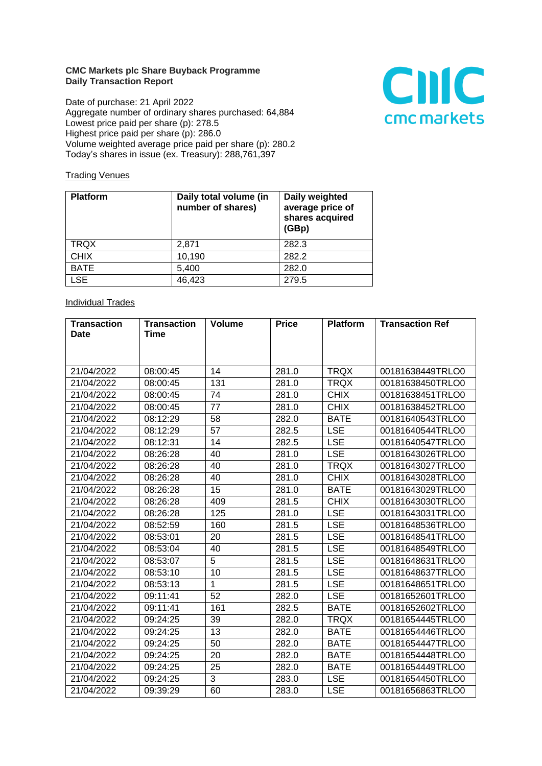## **CMC Markets plc Share Buyback Programme Daily Transaction Report**

Date of purchase: 21 April 2022 Aggregate number of ordinary shares purchased: 64,884 Lowest price paid per share (p): 278.5 Highest price paid per share (p): 286.0 Volume weighted average price paid per share (p): 280.2 Today's shares in issue (ex. Treasury): 288,761,397



## **Trading Venues**

| <b>Platform</b> | Daily total volume (in<br>number of shares) | Daily weighted<br>average price of<br>shares acquired<br>(GBp) |
|-----------------|---------------------------------------------|----------------------------------------------------------------|
| <b>TRQX</b>     | 2,871                                       | 282.3                                                          |
| <b>CHIX</b>     | 10,190                                      | 282.2                                                          |
| <b>BATE</b>     | 5,400                                       | 282.0                                                          |
| <b>LSE</b>      | 46,423                                      | 279.5                                                          |

## **Individual Trades**

| <b>Transaction</b> | <b>Transaction</b> | <b>Volume</b>  | <b>Price</b> | <b>Platform</b> | <b>Transaction Ref</b> |
|--------------------|--------------------|----------------|--------------|-----------------|------------------------|
| <b>Date</b>        | Time               |                |              |                 |                        |
|                    |                    |                |              |                 |                        |
|                    |                    |                |              |                 |                        |
| 21/04/2022         | 08:00:45           | 14             | 281.0        | <b>TRQX</b>     | 00181638449TRLO0       |
| 21/04/2022         | 08:00:45           | 131            | 281.0        | <b>TRQX</b>     | 00181638450TRLO0       |
| 21/04/2022         | 08:00:45           | 74             | 281.0        | <b>CHIX</b>     | 00181638451TRLO0       |
| 21/04/2022         | 08:00:45           | 77             | 281.0        | <b>CHIX</b>     | 00181638452TRLO0       |
| 21/04/2022         | 08:12:29           | 58             | 282.0        | <b>BATE</b>     | 00181640543TRLO0       |
| 21/04/2022         | 08:12:29           | 57             | 282.5        | <b>LSE</b>      | 00181640544TRLO0       |
| 21/04/2022         | 08:12:31           | 14             | 282.5        | <b>LSE</b>      | 00181640547TRLO0       |
| 21/04/2022         | 08:26:28           | 40             | 281.0        | <b>LSE</b>      | 00181643026TRLO0       |
| 21/04/2022         | 08:26:28           | 40             | 281.0        | <b>TRQX</b>     | 00181643027TRLO0       |
| 21/04/2022         | 08:26:28           | 40             | 281.0        | <b>CHIX</b>     | 00181643028TRLO0       |
| 21/04/2022         | 08:26:28           | 15             | 281.0        | <b>BATE</b>     | 00181643029TRLO0       |
| 21/04/2022         | 08:26:28           | 409            | 281.5        | <b>CHIX</b>     | 00181643030TRLO0       |
| 21/04/2022         | 08:26:28           | 125            | 281.0        | <b>LSE</b>      | 00181643031TRLO0       |
| 21/04/2022         | 08:52:59           | 160            | 281.5        | <b>LSE</b>      | 00181648536TRLO0       |
| 21/04/2022         | 08:53:01           | 20             | 281.5        | <b>LSE</b>      | 00181648541TRLO0       |
| 21/04/2022         | 08:53:04           | 40             | 281.5        | <b>LSE</b>      | 00181648549TRLO0       |
| 21/04/2022         | 08:53:07           | $\overline{5}$ | 281.5        | <b>LSE</b>      | 00181648631TRLO0       |
| 21/04/2022         | 08:53:10           | 10             | 281.5        | <b>LSE</b>      | 00181648637TRLO0       |
| 21/04/2022         | 08:53:13           | $\mathbf{1}$   | 281.5        | <b>LSE</b>      | 00181648651TRLO0       |
| 21/04/2022         | 09:11:41           | 52             | 282.0        | <b>LSE</b>      | 00181652601TRLO0       |
| 21/04/2022         | 09:11:41           | 161            | 282.5        | <b>BATE</b>     | 00181652602TRLO0       |
| 21/04/2022         | 09:24:25           | 39             | 282.0        | <b>TRQX</b>     | 00181654445TRLO0       |
| 21/04/2022         | 09:24:25           | 13             | 282.0        | <b>BATE</b>     | 00181654446TRLO0       |
| 21/04/2022         | 09:24:25           | 50             | 282.0        | <b>BATE</b>     | 00181654447TRLO0       |
| 21/04/2022         | 09:24:25           | 20             | 282.0        | <b>BATE</b>     | 00181654448TRLO0       |
| 21/04/2022         | 09:24:25           | 25             | 282.0        | <b>BATE</b>     | 00181654449TRLO0       |
| 21/04/2022         | 09:24:25           | 3              | 283.0        | <b>LSE</b>      | 00181654450TRLO0       |
| 21/04/2022         | 09:39:29           | 60             | 283.0        | <b>LSE</b>      | 00181656863TRLO0       |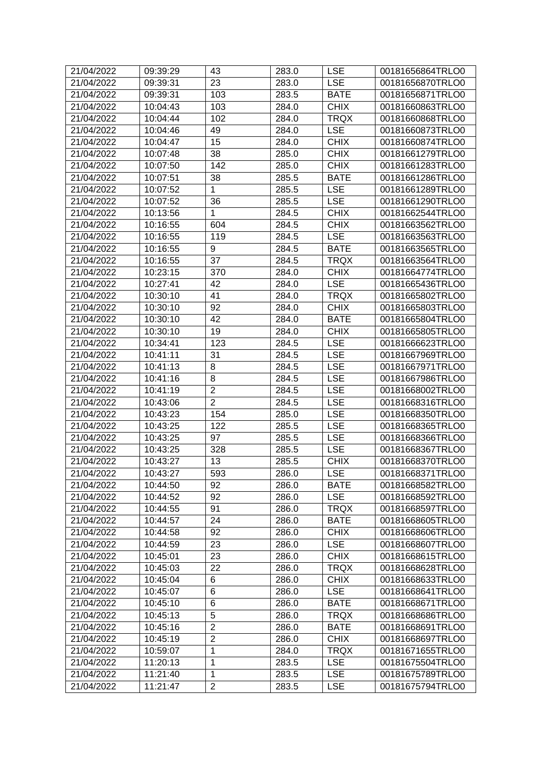| 21/04/2022 | 09:39:29 | 43             | 283.0 | <b>LSE</b>  | 00181656864TRLO0 |
|------------|----------|----------------|-------|-------------|------------------|
| 21/04/2022 | 09:39:31 | 23             | 283.0 | <b>LSE</b>  | 00181656870TRLO0 |
| 21/04/2022 | 09:39:31 | 103            | 283.5 | <b>BATE</b> | 00181656871TRLO0 |
| 21/04/2022 | 10:04:43 | 103            | 284.0 | <b>CHIX</b> | 00181660863TRLO0 |
| 21/04/2022 | 10:04:44 | 102            | 284.0 | <b>TRQX</b> | 00181660868TRLO0 |
| 21/04/2022 | 10:04:46 | 49             | 284.0 | <b>LSE</b>  | 00181660873TRLO0 |
| 21/04/2022 | 10:04:47 | 15             | 284.0 | <b>CHIX</b> | 00181660874TRLO0 |
| 21/04/2022 | 10:07:48 | 38             | 285.0 | <b>CHIX</b> | 00181661279TRLO0 |
| 21/04/2022 | 10:07:50 | 142            | 285.0 | <b>CHIX</b> | 00181661283TRLO0 |
| 21/04/2022 | 10:07:51 | 38             | 285.5 | <b>BATE</b> | 00181661286TRLO0 |
| 21/04/2022 | 10:07:52 | 1              | 285.5 | <b>LSE</b>  | 00181661289TRLO0 |
| 21/04/2022 | 10:07:52 | 36             | 285.5 | <b>LSE</b>  | 00181661290TRLO0 |
| 21/04/2022 | 10:13:56 | 1              | 284.5 | <b>CHIX</b> | 00181662544TRLO0 |
| 21/04/2022 | 10:16:55 | 604            | 284.5 | <b>CHIX</b> | 00181663562TRLO0 |
| 21/04/2022 | 10:16:55 | 119            | 284.5 | <b>LSE</b>  | 00181663563TRLO0 |
| 21/04/2022 | 10:16:55 | 9              | 284.5 | <b>BATE</b> | 00181663565TRLO0 |
| 21/04/2022 | 10:16:55 | 37             | 284.5 | <b>TRQX</b> | 00181663564TRLO0 |
| 21/04/2022 | 10:23:15 | 370            | 284.0 | <b>CHIX</b> | 00181664774TRLO0 |
| 21/04/2022 | 10:27:41 | 42             | 284.0 | <b>LSE</b>  | 00181665436TRLO0 |
| 21/04/2022 | 10:30:10 | 41             | 284.0 | <b>TRQX</b> | 00181665802TRLO0 |
| 21/04/2022 | 10:30:10 | 92             | 284.0 | <b>CHIX</b> | 00181665803TRLO0 |
| 21/04/2022 | 10:30:10 | 42             | 284.0 | <b>BATE</b> | 00181665804TRLO0 |
| 21/04/2022 | 10:30:10 | 19             | 284.0 | <b>CHIX</b> | 00181665805TRLO0 |
| 21/04/2022 | 10:34:41 | 123            | 284.5 | <b>LSE</b>  | 00181666623TRLO0 |
| 21/04/2022 | 10:41:11 | 31             | 284.5 | <b>LSE</b>  | 00181667969TRLO0 |
| 21/04/2022 | 10:41:13 | 8              | 284.5 | <b>LSE</b>  | 00181667971TRLO0 |
| 21/04/2022 | 10:41:16 | 8              | 284.5 | <b>LSE</b>  | 00181667986TRLO0 |
| 21/04/2022 | 10:41:19 | $\overline{2}$ | 284.5 | <b>LSE</b>  | 00181668002TRLO0 |
| 21/04/2022 | 10:43:06 | $\overline{2}$ | 284.5 | <b>LSE</b>  | 00181668316TRLO0 |
| 21/04/2022 | 10:43:23 | 154            | 285.0 | <b>LSE</b>  | 00181668350TRLO0 |
| 21/04/2022 | 10:43:25 | 122            | 285.5 | <b>LSE</b>  | 00181668365TRLO0 |
| 21/04/2022 | 10:43:25 | 97             | 285.5 | <b>LSE</b>  | 00181668366TRLO0 |
| 21/04/2022 | 10:43:25 | 328            | 285.5 | <b>LSE</b>  | 00181668367TRLO0 |
| 21/04/2022 | 10:43:27 | 13             | 285.5 | <b>CHIX</b> | 00181668370TRLO0 |
| 21/04/2022 | 10:43:27 | 593            | 286.0 | <b>LSE</b>  | 00181668371TRLO0 |
| 21/04/2022 | 10:44:50 | 92             | 286.0 | <b>BATE</b> | 00181668582TRLO0 |
| 21/04/2022 | 10:44:52 | 92             | 286.0 | <b>LSE</b>  | 00181668592TRLO0 |
| 21/04/2022 | 10:44:55 | 91             | 286.0 | <b>TRQX</b> | 00181668597TRLO0 |
| 21/04/2022 | 10:44:57 | 24             | 286.0 | <b>BATE</b> | 00181668605TRLO0 |
| 21/04/2022 | 10:44:58 | 92             | 286.0 | <b>CHIX</b> | 00181668606TRLO0 |
| 21/04/2022 | 10:44:59 | 23             | 286.0 | <b>LSE</b>  | 00181668607TRLO0 |
| 21/04/2022 | 10:45:01 | 23             | 286.0 | <b>CHIX</b> | 00181668615TRLO0 |
| 21/04/2022 | 10:45:03 | 22             | 286.0 | <b>TRQX</b> | 00181668628TRLO0 |
| 21/04/2022 | 10:45:04 | 6              | 286.0 | <b>CHIX</b> | 00181668633TRLO0 |
| 21/04/2022 | 10:45:07 | 6              | 286.0 | <b>LSE</b>  | 00181668641TRLO0 |
| 21/04/2022 | 10:45:10 | 6              | 286.0 | <b>BATE</b> | 00181668671TRLO0 |
| 21/04/2022 | 10:45:13 | 5              | 286.0 | <b>TRQX</b> | 00181668686TRLO0 |
| 21/04/2022 | 10:45:16 | $\overline{2}$ | 286.0 | <b>BATE</b> | 00181668691TRLO0 |
| 21/04/2022 | 10:45:19 | $\overline{2}$ | 286.0 | <b>CHIX</b> | 00181668697TRLO0 |
| 21/04/2022 | 10:59:07 | 1              | 284.0 | <b>TRQX</b> | 00181671655TRLO0 |
| 21/04/2022 | 11:20:13 | 1              | 283.5 | <b>LSE</b>  | 00181675504TRLO0 |
| 21/04/2022 | 11:21:40 | 1              | 283.5 | <b>LSE</b>  | 00181675789TRLO0 |
| 21/04/2022 | 11:21:47 | $\overline{2}$ | 283.5 | <b>LSE</b>  | 00181675794TRLO0 |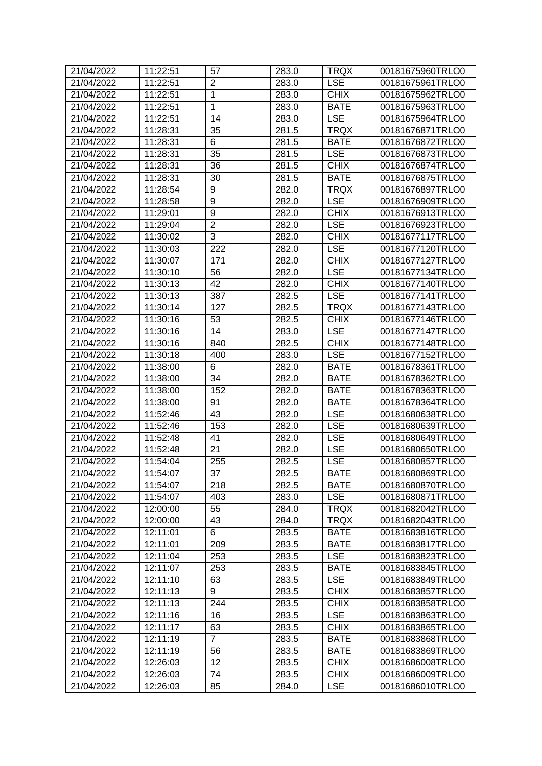| 21/04/2022 | 11:22:51 | 57               | 283.0 | <b>TRQX</b> | 00181675960TRLO0 |
|------------|----------|------------------|-------|-------------|------------------|
| 21/04/2022 | 11:22:51 | $\overline{2}$   | 283.0 | <b>LSE</b>  | 00181675961TRLO0 |
| 21/04/2022 | 11:22:51 | 1                | 283.0 | <b>CHIX</b> | 00181675962TRLO0 |
| 21/04/2022 | 11:22:51 | $\mathbf{1}$     | 283.0 | <b>BATE</b> | 00181675963TRLO0 |
| 21/04/2022 | 11:22:51 | 14               | 283.0 | <b>LSE</b>  | 00181675964TRLO0 |
| 21/04/2022 | 11:28:31 | 35               | 281.5 | <b>TRQX</b> | 00181676871TRLO0 |
| 21/04/2022 | 11:28:31 | 6                | 281.5 | <b>BATE</b> | 00181676872TRLO0 |
| 21/04/2022 | 11:28:31 | 35               | 281.5 | <b>LSE</b>  | 00181676873TRLO0 |
| 21/04/2022 | 11:28:31 | 36               | 281.5 | <b>CHIX</b> | 00181676874TRLO0 |
| 21/04/2022 | 11:28:31 | 30               | 281.5 | <b>BATE</b> | 00181676875TRLO0 |
| 21/04/2022 | 11:28:54 | 9                | 282.0 | <b>TRQX</b> | 00181676897TRLO0 |
| 21/04/2022 | 11:28:58 | 9                | 282.0 | <b>LSE</b>  | 00181676909TRLO0 |
| 21/04/2022 | 11:29:01 | $\boldsymbol{9}$ | 282.0 | <b>CHIX</b> | 00181676913TRLO0 |
| 21/04/2022 | 11:29:04 | $\overline{2}$   | 282.0 | <b>LSE</b>  | 00181676923TRLO0 |
| 21/04/2022 | 11:30:02 | 3                | 282.0 | <b>CHIX</b> | 00181677117TRLO0 |
| 21/04/2022 | 11:30:03 | $\overline{222}$ | 282.0 | <b>LSE</b>  | 00181677120TRLO0 |
| 21/04/2022 | 11:30:07 | 171              | 282.0 | <b>CHIX</b> | 00181677127TRLO0 |
| 21/04/2022 | 11:30:10 | 56               | 282.0 | <b>LSE</b>  | 00181677134TRLO0 |
| 21/04/2022 | 11:30:13 | 42               | 282.0 | <b>CHIX</b> | 00181677140TRLO0 |
| 21/04/2022 | 11:30:13 | 387              | 282.5 | <b>LSE</b>  | 00181677141TRLO0 |
| 21/04/2022 | 11:30:14 | 127              | 282.5 | <b>TRQX</b> | 00181677143TRLO0 |
| 21/04/2022 | 11:30:16 | 53               | 282.5 | <b>CHIX</b> | 00181677146TRLO0 |
| 21/04/2022 | 11:30:16 | 14               | 283.0 | <b>LSE</b>  | 00181677147TRLO0 |
| 21/04/2022 | 11:30:16 | 840              | 282.5 | <b>CHIX</b> | 00181677148TRLO0 |
| 21/04/2022 | 11:30:18 | 400              | 283.0 | <b>LSE</b>  | 00181677152TRLO0 |
| 21/04/2022 | 11:38:00 | 6                | 282.0 | <b>BATE</b> | 00181678361TRLO0 |
| 21/04/2022 | 11:38:00 | 34               | 282.0 | <b>BATE</b> | 00181678362TRLO0 |
| 21/04/2022 | 11:38:00 | 152              | 282.0 | <b>BATE</b> | 00181678363TRLO0 |
| 21/04/2022 | 11:38:00 | 91               | 282.0 | <b>BATE</b> | 00181678364TRLO0 |
| 21/04/2022 | 11:52:46 | 43               | 282.0 | <b>LSE</b>  | 00181680638TRLO0 |
| 21/04/2022 | 11:52:46 | 153              | 282.0 | <b>LSE</b>  | 00181680639TRLO0 |
| 21/04/2022 | 11:52:48 | 41               | 282.0 | <b>LSE</b>  | 00181680649TRLO0 |
| 21/04/2022 | 11:52:48 | 21               | 282.0 | <b>LSE</b>  | 00181680650TRLO0 |
| 21/04/2022 | 11:54:04 | 255              | 282.5 | <b>LSE</b>  | 00181680857TRLO0 |
| 21/04/2022 | 11:54:07 | 37               | 282.5 | <b>BATE</b> | 00181680869TRLO0 |
| 21/04/2022 | 11:54:07 | 218              | 282.5 | <b>BATE</b> | 00181680870TRLO0 |
| 21/04/2022 | 11:54:07 | 403              | 283.0 | <b>LSE</b>  | 00181680871TRLO0 |
| 21/04/2022 | 12:00:00 | 55               | 284.0 | <b>TRQX</b> | 00181682042TRLO0 |
| 21/04/2022 | 12:00:00 | 43               | 284.0 | <b>TRQX</b> | 00181682043TRLO0 |
| 21/04/2022 | 12:11:01 | 6                | 283.5 | <b>BATE</b> | 00181683816TRLO0 |
| 21/04/2022 | 12:11:01 | 209              | 283.5 | <b>BATE</b> | 00181683817TRLO0 |
| 21/04/2022 | 12:11:04 | 253              | 283.5 | <b>LSE</b>  | 00181683823TRLO0 |
| 21/04/2022 | 12:11:07 | 253              | 283.5 | <b>BATE</b> | 00181683845TRLO0 |
| 21/04/2022 | 12:11:10 | 63               | 283.5 | <b>LSE</b>  | 00181683849TRLO0 |
| 21/04/2022 | 12:11:13 | 9                | 283.5 | <b>CHIX</b> | 00181683857TRLO0 |
| 21/04/2022 | 12:11:13 | 244              | 283.5 | <b>CHIX</b> | 00181683858TRLO0 |
| 21/04/2022 | 12:11:16 | 16               | 283.5 | <b>LSE</b>  | 00181683863TRLO0 |
| 21/04/2022 | 12:11:17 | 63               | 283.5 | <b>CHIX</b> | 00181683865TRLO0 |
| 21/04/2022 | 12:11:19 | $\overline{7}$   | 283.5 | <b>BATE</b> | 00181683868TRLO0 |
| 21/04/2022 | 12:11:19 | 56               | 283.5 | <b>BATE</b> | 00181683869TRLO0 |
| 21/04/2022 | 12:26:03 | 12               | 283.5 | <b>CHIX</b> | 00181686008TRLO0 |
| 21/04/2022 | 12:26:03 | 74               | 283.5 | <b>CHIX</b> | 00181686009TRLO0 |
| 21/04/2022 | 12:26:03 | 85               | 284.0 | <b>LSE</b>  | 00181686010TRLO0 |
|            |          |                  |       |             |                  |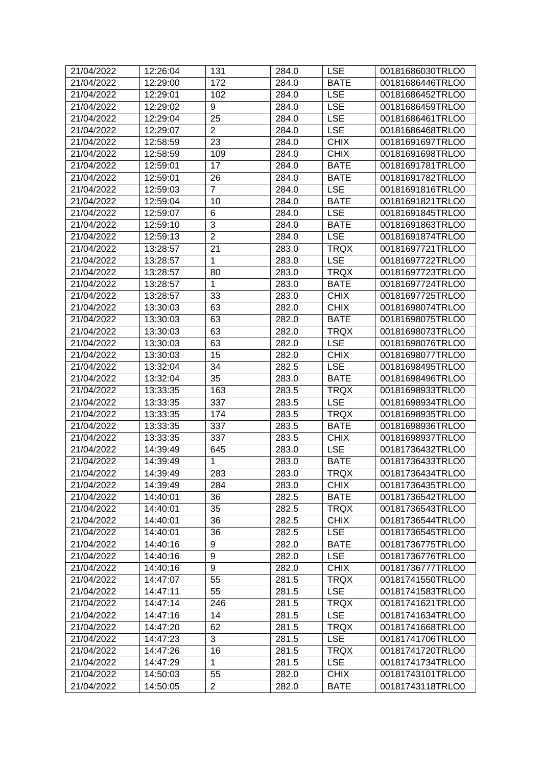| 21/04/2022 | 12:26:04 | 131            | 284.0 | <b>LSE</b>  | 00181686030TRLO0 |
|------------|----------|----------------|-------|-------------|------------------|
| 21/04/2022 | 12:29:00 | 172            | 284.0 | <b>BATE</b> | 00181686446TRLO0 |
| 21/04/2022 | 12:29:01 | 102            | 284.0 | <b>LSE</b>  | 00181686452TRLO0 |
| 21/04/2022 | 12:29:02 | 9              | 284.0 | <b>LSE</b>  | 00181686459TRLO0 |
| 21/04/2022 | 12:29:04 | 25             | 284.0 | <b>LSE</b>  | 00181686461TRLO0 |
| 21/04/2022 | 12:29:07 | $\overline{2}$ | 284.0 | <b>LSE</b>  | 00181686468TRLO0 |
| 21/04/2022 | 12:58:59 | 23             | 284.0 | <b>CHIX</b> | 00181691697TRLO0 |
| 21/04/2022 | 12:58:59 | 109            | 284.0 | <b>CHIX</b> | 00181691698TRLO0 |
| 21/04/2022 | 12:59:01 | 17             | 284.0 | <b>BATE</b> | 00181691781TRLO0 |
| 21/04/2022 | 12:59:01 | 26             | 284.0 | <b>BATE</b> | 00181691782TRLO0 |
| 21/04/2022 | 12:59:03 | 7              | 284.0 | <b>LSE</b>  | 00181691816TRLO0 |
| 21/04/2022 | 12:59:04 | 10             | 284.0 | <b>BATE</b> | 00181691821TRLO0 |
| 21/04/2022 | 12:59:07 | 6              | 284.0 | <b>LSE</b>  | 00181691845TRLO0 |
| 21/04/2022 | 12:59:10 | 3              | 284.0 | <b>BATE</b> | 00181691863TRLO0 |
| 21/04/2022 | 12:59:13 | $\overline{2}$ | 284.0 | <b>LSE</b>  | 00181691874TRLO0 |
| 21/04/2022 | 13:28:57 | 21             | 283.0 | <b>TRQX</b> | 00181697721TRLO0 |
| 21/04/2022 | 13:28:57 | 1              | 283.0 | <b>LSE</b>  | 00181697722TRLO0 |
| 21/04/2022 | 13:28:57 | 80             | 283.0 | <b>TRQX</b> | 00181697723TRLO0 |
| 21/04/2022 | 13:28:57 | 1              | 283.0 | <b>BATE</b> | 00181697724TRLO0 |
| 21/04/2022 | 13:28:57 | 33             | 283.0 | <b>CHIX</b> | 00181697725TRLO0 |
| 21/04/2022 | 13:30:03 | 63             | 282.0 | <b>CHIX</b> | 00181698074TRLO0 |
| 21/04/2022 | 13:30:03 | 63             | 282.0 | <b>BATE</b> | 00181698075TRLO0 |
| 21/04/2022 | 13:30:03 | 63             | 282.0 | <b>TRQX</b> | 00181698073TRLO0 |
| 21/04/2022 | 13:30:03 | 63             | 282.0 | <b>LSE</b>  | 00181698076TRLO0 |
| 21/04/2022 | 13:30:03 | 15             | 282.0 | <b>CHIX</b> | 00181698077TRLO0 |
| 21/04/2022 | 13:32:04 | 34             | 282.5 | <b>LSE</b>  | 00181698495TRLO0 |
| 21/04/2022 | 13:32:04 | 35             | 283.0 | <b>BATE</b> | 00181698496TRLO0 |
| 21/04/2022 | 13:33:35 | 163            | 283.5 | <b>TRQX</b> | 00181698933TRLO0 |
| 21/04/2022 | 13:33:35 | 337            | 283.5 | <b>LSE</b>  | 00181698934TRLO0 |
| 21/04/2022 | 13:33:35 | 174            | 283.5 | <b>TRQX</b> | 00181698935TRLO0 |
| 21/04/2022 | 13:33:35 | 337            | 283.5 | <b>BATE</b> | 00181698936TRLO0 |
| 21/04/2022 | 13:33:35 | 337            | 283.5 | <b>CHIX</b> | 00181698937TRLO0 |
| 21/04/2022 | 14:39:49 | 645            | 283.0 | <b>LSE</b>  | 00181736432TRLO0 |
| 21/04/2022 | 14:39:49 | 1              | 283.0 | <b>BATE</b> | 00181736433TRLO0 |
| 21/04/2022 | 14:39:49 | 283            | 283.0 | <b>TRQX</b> | 00181736434TRLO0 |
| 21/04/2022 | 14:39:49 | 284            | 283.0 | <b>CHIX</b> | 00181736435TRLO0 |
| 21/04/2022 | 14:40:01 | 36             | 282.5 | <b>BATE</b> | 00181736542TRLO0 |
| 21/04/2022 | 14:40:01 | 35             | 282.5 | <b>TRQX</b> | 00181736543TRLO0 |
| 21/04/2022 | 14:40:01 | 36             | 282.5 | <b>CHIX</b> | 00181736544TRLO0 |
| 21/04/2022 | 14:40:01 | 36             | 282.5 | <b>LSE</b>  | 00181736545TRLO0 |
| 21/04/2022 | 14:40:16 | 9              | 282.0 | <b>BATE</b> | 00181736775TRLO0 |
| 21/04/2022 | 14:40:16 | 9              | 282.0 | <b>LSE</b>  | 00181736776TRLO0 |
| 21/04/2022 | 14:40:16 | 9              | 282.0 | <b>CHIX</b> | 00181736777TRLO0 |
| 21/04/2022 | 14:47:07 | 55             | 281.5 | <b>TRQX</b> | 00181741550TRLO0 |
| 21/04/2022 | 14:47:11 | 55             | 281.5 | <b>LSE</b>  | 00181741583TRLO0 |
| 21/04/2022 | 14:47:14 | 246            | 281.5 | <b>TRQX</b> | 00181741621TRLO0 |
| 21/04/2022 | 14:47:16 | 14             | 281.5 | <b>LSE</b>  | 00181741634TRLO0 |
| 21/04/2022 | 14:47:20 | 62             | 281.5 | <b>TRQX</b> | 00181741668TRLO0 |
| 21/04/2022 | 14:47:23 | 3              | 281.5 | <b>LSE</b>  | 00181741706TRLO0 |
| 21/04/2022 | 14:47:26 | 16             | 281.5 | <b>TRQX</b> | 00181741720TRLO0 |
| 21/04/2022 | 14:47:29 | $\mathbf{1}$   | 281.5 | <b>LSE</b>  | 00181741734TRLO0 |
| 21/04/2022 | 14:50:03 | 55             | 282.0 | <b>CHIX</b> | 00181743101TRLO0 |
| 21/04/2022 | 14:50:05 | $\overline{2}$ | 282.0 | <b>BATE</b> | 00181743118TRLO0 |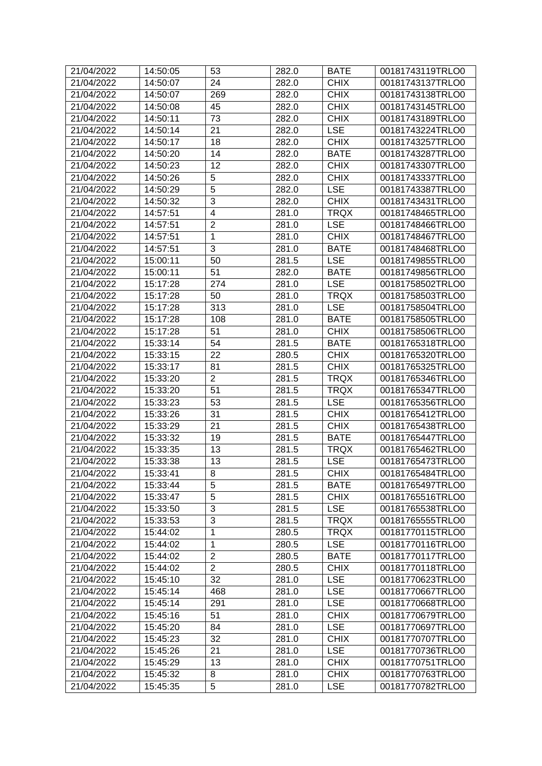| 21/04/2022 | 14:50:05 | 53                      | 282.0 | <b>BATE</b> | 00181743119TRLO0 |
|------------|----------|-------------------------|-------|-------------|------------------|
| 21/04/2022 | 14:50:07 | 24                      | 282.0 | <b>CHIX</b> | 00181743137TRLO0 |
| 21/04/2022 | 14:50:07 | 269                     | 282.0 | <b>CHIX</b> | 00181743138TRLO0 |
| 21/04/2022 | 14:50:08 | 45                      | 282.0 | <b>CHIX</b> | 00181743145TRLO0 |
| 21/04/2022 | 14:50:11 | 73                      | 282.0 | <b>CHIX</b> | 00181743189TRLO0 |
| 21/04/2022 | 14:50:14 | 21                      | 282.0 | <b>LSE</b>  | 00181743224TRLO0 |
| 21/04/2022 | 14:50:17 | 18                      | 282.0 | <b>CHIX</b> | 00181743257TRLO0 |
| 21/04/2022 | 14:50:20 | 14                      | 282.0 | <b>BATE</b> | 00181743287TRLO0 |
| 21/04/2022 | 14:50:23 | 12                      | 282.0 | <b>CHIX</b> | 00181743307TRLO0 |
| 21/04/2022 | 14:50:26 | 5                       | 282.0 | <b>CHIX</b> | 00181743337TRLO0 |
| 21/04/2022 | 14:50:29 | $\overline{5}$          | 282.0 | <b>LSE</b>  | 00181743387TRLO0 |
| 21/04/2022 | 14:50:32 | 3                       | 282.0 | <b>CHIX</b> | 00181743431TRLO0 |
| 21/04/2022 | 14:57:51 | $\overline{\mathbf{4}}$ | 281.0 | <b>TRQX</b> | 00181748465TRLO0 |
| 21/04/2022 | 14:57:51 | $\overline{2}$          | 281.0 | <b>LSE</b>  | 00181748466TRLO0 |
| 21/04/2022 | 14:57:51 | $\mathbf{1}$            | 281.0 | <b>CHIX</b> | 00181748467TRLO0 |
| 21/04/2022 | 14:57:51 | 3                       | 281.0 | <b>BATE</b> | 00181748468TRLO0 |
| 21/04/2022 | 15:00:11 | 50                      | 281.5 | <b>LSE</b>  | 00181749855TRLO0 |
| 21/04/2022 | 15:00:11 | 51                      | 282.0 | <b>BATE</b> | 00181749856TRLO0 |
| 21/04/2022 | 15:17:28 | 274                     | 281.0 | <b>LSE</b>  | 00181758502TRLO0 |
| 21/04/2022 | 15:17:28 | 50                      | 281.0 | <b>TRQX</b> | 00181758503TRLO0 |
| 21/04/2022 | 15:17:28 | 313                     | 281.0 | <b>LSE</b>  | 00181758504TRLO0 |
| 21/04/2022 | 15:17:28 | 108                     | 281.0 | <b>BATE</b> | 00181758505TRLO0 |
| 21/04/2022 | 15:17:28 | 51                      | 281.0 | <b>CHIX</b> | 00181758506TRLO0 |
| 21/04/2022 | 15:33:14 | 54                      | 281.5 | <b>BATE</b> | 00181765318TRLO0 |
| 21/04/2022 | 15:33:15 | 22                      | 280.5 | <b>CHIX</b> | 00181765320TRLO0 |
| 21/04/2022 | 15:33:17 | 81                      | 281.5 | <b>CHIX</b> | 00181765325TRLO0 |
| 21/04/2022 | 15:33:20 | $\overline{2}$          | 281.5 | <b>TRQX</b> | 00181765346TRLO0 |
| 21/04/2022 | 15:33:20 | 51                      | 281.5 | <b>TRQX</b> | 00181765347TRLO0 |
| 21/04/2022 | 15:33:23 | 53                      | 281.5 | <b>LSE</b>  | 00181765356TRLO0 |
| 21/04/2022 | 15:33:26 | 31                      | 281.5 | <b>CHIX</b> | 00181765412TRLO0 |
| 21/04/2022 | 15:33:29 | 21                      | 281.5 | <b>CHIX</b> | 00181765438TRLO0 |
| 21/04/2022 | 15:33:32 | 19                      | 281.5 | <b>BATE</b> | 00181765447TRLO0 |
| 21/04/2022 | 15:33:35 | 13                      | 281.5 | <b>TRQX</b> | 00181765462TRLO0 |
| 21/04/2022 | 15:33:38 | 13                      | 281.5 | <b>LSE</b>  | 00181765473TRLO0 |
|            |          | 8                       |       | <b>CHIX</b> | 00181765484TRLO0 |
| 21/04/2022 | 15:33:41 |                         | 281.5 |             |                  |
| 21/04/2022 | 15:33:44 | 5                       | 281.5 | <b>BATE</b> | 00181765497TRLO0 |
| 21/04/2022 | 15:33:47 | 5                       | 281.5 | <b>CHIX</b> | 00181765516TRLO0 |
| 21/04/2022 | 15:33:50 | 3                       | 281.5 | <b>LSE</b>  | 00181765538TRLO0 |
| 21/04/2022 | 15:33:53 | 3                       | 281.5 | <b>TRQX</b> | 00181765555TRLO0 |
| 21/04/2022 | 15:44:02 | 1                       | 280.5 | <b>TRQX</b> | 00181770115TRLO0 |
| 21/04/2022 | 15:44:02 | 1                       | 280.5 | <b>LSE</b>  | 00181770116TRLO0 |
| 21/04/2022 | 15:44:02 | $\overline{c}$          | 280.5 | <b>BATE</b> | 00181770117TRLO0 |
| 21/04/2022 | 15:44:02 | $\overline{2}$          | 280.5 | <b>CHIX</b> | 00181770118TRLO0 |
| 21/04/2022 | 15:45:10 | 32                      | 281.0 | <b>LSE</b>  | 00181770623TRLO0 |
| 21/04/2022 | 15:45:14 | 468                     | 281.0 | <b>LSE</b>  | 00181770667TRLO0 |
| 21/04/2022 | 15:45:14 | 291                     | 281.0 | <b>LSE</b>  | 00181770668TRLO0 |
| 21/04/2022 | 15:45:16 | 51                      | 281.0 | <b>CHIX</b> | 00181770679TRLO0 |
| 21/04/2022 | 15:45:20 | 84                      | 281.0 | <b>LSE</b>  | 00181770697TRLO0 |
| 21/04/2022 | 15:45:23 | 32                      | 281.0 | <b>CHIX</b> | 00181770707TRLO0 |
| 21/04/2022 | 15:45:26 | 21                      | 281.0 | <b>LSE</b>  | 00181770736TRLO0 |
| 21/04/2022 | 15:45:29 | 13                      | 281.0 | <b>CHIX</b> | 00181770751TRLO0 |
| 21/04/2022 | 15:45:32 | 8                       | 281.0 | <b>CHIX</b> | 00181770763TRLO0 |
| 21/04/2022 | 15:45:35 | 5                       | 281.0 | <b>LSE</b>  | 00181770782TRLO0 |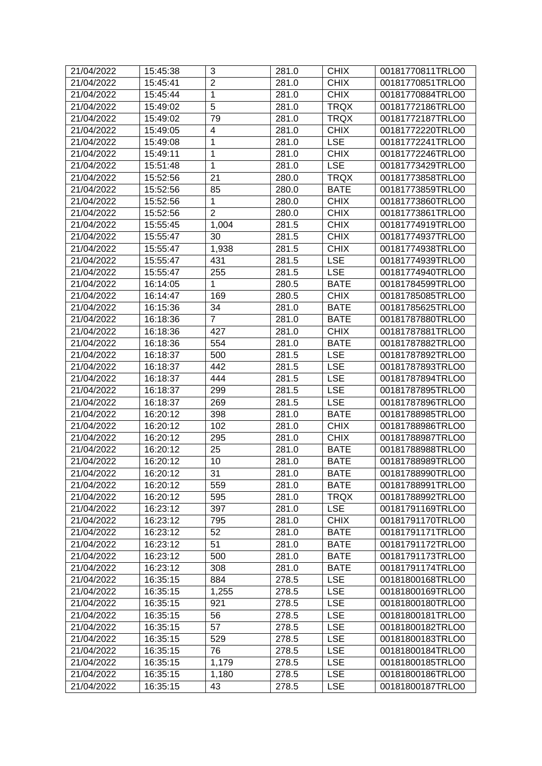| 21/04/2022 | 15:45:38 | 3               | 281.0 | <b>CHIX</b> | 00181770811TRLO0 |
|------------|----------|-----------------|-------|-------------|------------------|
| 21/04/2022 | 15:45:41 | $\overline{2}$  | 281.0 | <b>CHIX</b> | 00181770851TRLO0 |
| 21/04/2022 | 15:45:44 | 1               | 281.0 | <b>CHIX</b> | 00181770884TRLO0 |
| 21/04/2022 | 15:49:02 | 5               | 281.0 | <b>TRQX</b> | 00181772186TRLO0 |
| 21/04/2022 | 15:49:02 | 79              | 281.0 | <b>TRQX</b> | 00181772187TRLO0 |
| 21/04/2022 | 15:49:05 | 4               | 281.0 | <b>CHIX</b> | 00181772220TRLO0 |
| 21/04/2022 | 15:49:08 | 1               | 281.0 | <b>LSE</b>  | 00181772241TRLO0 |
| 21/04/2022 | 15:49:11 | 1               | 281.0 | <b>CHIX</b> | 00181772246TRLO0 |
| 21/04/2022 | 15:51:48 | 1               | 281.0 | <b>LSE</b>  | 00181773429TRLO0 |
| 21/04/2022 | 15:52:56 | 21              | 280.0 | <b>TRQX</b> | 00181773858TRLO0 |
| 21/04/2022 | 15:52:56 | 85              | 280.0 | <b>BATE</b> | 00181773859TRLO0 |
| 21/04/2022 | 15:52:56 | $\mathbf{1}$    | 280.0 | <b>CHIX</b> | 00181773860TRLO0 |
| 21/04/2022 | 15:52:56 | $\overline{2}$  | 280.0 | <b>CHIX</b> | 00181773861TRLO0 |
| 21/04/2022 | 15:55:45 | 1,004           | 281.5 | <b>CHIX</b> | 00181774919TRLO0 |
| 21/04/2022 | 15:55:47 | 30              | 281.5 | <b>CHIX</b> | 00181774937TRLO0 |
| 21/04/2022 | 15:55:47 | 1,938           | 281.5 | <b>CHIX</b> | 00181774938TRLO0 |
| 21/04/2022 | 15:55:47 | 431             | 281.5 | <b>LSE</b>  | 00181774939TRLO0 |
| 21/04/2022 | 15:55:47 | 255             | 281.5 | <b>LSE</b>  | 00181774940TRLO0 |
| 21/04/2022 | 16:14:05 | 1               | 280.5 | <b>BATE</b> | 00181784599TRLO0 |
| 21/04/2022 | 16:14:47 | 169             | 280.5 | <b>CHIX</b> | 00181785085TRLO0 |
| 21/04/2022 | 16:15:36 | 34              | 281.0 | <b>BATE</b> | 00181785625TRLO0 |
| 21/04/2022 | 16:18:36 | $\overline{7}$  | 281.0 | <b>BATE</b> | 00181787880TRLO0 |
| 21/04/2022 | 16:18:36 | 427             | 281.0 | <b>CHIX</b> | 00181787881TRLO0 |
| 21/04/2022 | 16:18:36 | 554             | 281.0 | <b>BATE</b> | 00181787882TRLO0 |
| 21/04/2022 | 16:18:37 | 500             | 281.5 | <b>LSE</b>  | 00181787892TRLO0 |
| 21/04/2022 | 16:18:37 | 442             | 281.5 | <b>LSE</b>  | 00181787893TRLO0 |
| 21/04/2022 | 16:18:37 | 444             | 281.5 | <b>LSE</b>  | 00181787894TRLO0 |
| 21/04/2022 | 16:18:37 | 299             | 281.5 | <b>LSE</b>  | 00181787895TRLO0 |
| 21/04/2022 | 16:18:37 | 269             | 281.5 | <b>LSE</b>  | 00181787896TRLO0 |
| 21/04/2022 | 16:20:12 | 398             | 281.0 | <b>BATE</b> | 00181788985TRLO0 |
| 21/04/2022 | 16:20:12 | 102             | 281.0 | <b>CHIX</b> | 00181788986TRLO0 |
| 21/04/2022 | 16:20:12 | 295             | 281.0 | <b>CHIX</b> | 00181788987TRLO0 |
| 21/04/2022 | 16:20:12 | 25              | 281.0 | <b>BATE</b> | 00181788988TRLO0 |
| 21/04/2022 | 16:20:12 | 10              | 281.0 | <b>BATE</b> | 00181788989TRLO0 |
| 21/04/2022 | 16:20:12 | $\overline{31}$ | 281.0 | <b>BATE</b> |                  |
|            |          |                 |       |             | 00181788990TRLO0 |
| 21/04/2022 | 16:20:12 | 559             | 281.0 | <b>BATE</b> | 00181788991TRLO0 |
| 21/04/2022 | 16:20:12 | 595             | 281.0 | <b>TRQX</b> | 00181788992TRLO0 |
| 21/04/2022 | 16:23:12 | 397             | 281.0 | <b>LSE</b>  | 00181791169TRLO0 |
| 21/04/2022 | 16:23:12 | 795             | 281.0 | <b>CHIX</b> | 00181791170TRLO0 |
| 21/04/2022 | 16:23:12 | 52              | 281.0 | <b>BATE</b> | 00181791171TRLO0 |
| 21/04/2022 | 16:23:12 | 51              | 281.0 | <b>BATE</b> | 00181791172TRLO0 |
| 21/04/2022 | 16:23:12 | 500             | 281.0 | <b>BATE</b> | 00181791173TRLO0 |
| 21/04/2022 | 16:23:12 | 308             | 281.0 | <b>BATE</b> | 00181791174TRLO0 |
| 21/04/2022 | 16:35:15 | 884             | 278.5 | <b>LSE</b>  | 00181800168TRLO0 |
| 21/04/2022 | 16:35:15 | 1,255           | 278.5 | <b>LSE</b>  | 00181800169TRLO0 |
| 21/04/2022 | 16:35:15 | 921             | 278.5 | <b>LSE</b>  | 00181800180TRLO0 |
| 21/04/2022 | 16:35:15 | 56              | 278.5 | <b>LSE</b>  | 00181800181TRLO0 |
| 21/04/2022 | 16:35:15 | 57              | 278.5 | <b>LSE</b>  | 00181800182TRLO0 |
| 21/04/2022 | 16:35:15 | 529             | 278.5 | <b>LSE</b>  | 00181800183TRLO0 |
| 21/04/2022 | 16:35:15 | 76              | 278.5 | <b>LSE</b>  | 00181800184TRLO0 |
| 21/04/2022 | 16:35:15 | 1,179           | 278.5 | <b>LSE</b>  | 00181800185TRLO0 |
| 21/04/2022 | 16:35:15 | 1,180           | 278.5 | <b>LSE</b>  | 00181800186TRLO0 |
| 21/04/2022 | 16:35:15 | 43              | 278.5 | <b>LSE</b>  | 00181800187TRLO0 |